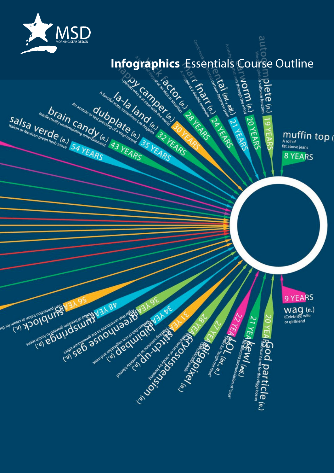

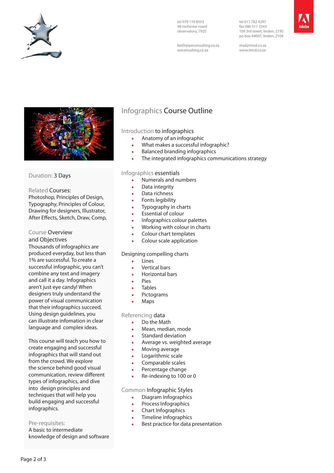

tel 079 119 8553 98 rochester roard observatory, 7925

keith@awconsulting.co.za awconsulting.co.za

tel 011 782 4297 fax 086 511 3343 109 3rd street, linden, 2195 po box 44007, linden, 2104



msd@imsd.co.za www.imsd.co.za



## Duration: 3 Days

## Related Courses:

Photoshop, Principles of Design, Typography, Principles of Colour, Drawing for designers, Illustrator, After Effects, Sketch, Draw, Comp,

## Course Overview

and Objectives

Thousands of infographics are produced everyday, but less than 1% are successful. To create a successful infographic, you can't combine any text and imagery and call it a day. Infographics aren't just eye candy! When designers truly understand the power of visual communication that their infographics succeed. Using design guidelines, you can illustrate infomation in clear language and complex ideas.

This course will teach you how to create engaging and successful infographics that will stand out from the crowd. We explore the science behind good visual communication, review different types of infographics, and dive into design principles and techniques that will help you build engaging and successful infographics.

## Pre-requisites:

A basic to intermediate knowledge of design and software

# Infographics Course Outline

## Introduction to infographics

- Anatomy of an infographic
- What makes a successful infographic?
- Balanced branding infographics
- The integrated infographics communications strategy

## Infographics essentials

- Numerals and numbers
- Data integrity
- Data richness
- Fonts legibility
- Typography in charts
- **Essential of colour**
- Infographics colour palettes
- Working with colour in charts
- Colour chart templates
- Colour scale application

## Designing compelling charts

- Lines
- Vertical bars
- Horizontal bars
- Pies
- **Tables**
- **Pictograms**
- Maps

## Referencing data

- Do the Math
- Mean, median, mode
- Standard deviation
- **Average vs. weighted average**
- Moving average
- Logarithmic scale
- Comparable scales
- Percentage change
- Re-indexing to 100 or 0

## Common Infographic Styles

- Diagram Infographics
- Process Infographics
- Chart Infographics
- **•** Timeline Infographics
- Best practice for data presentation